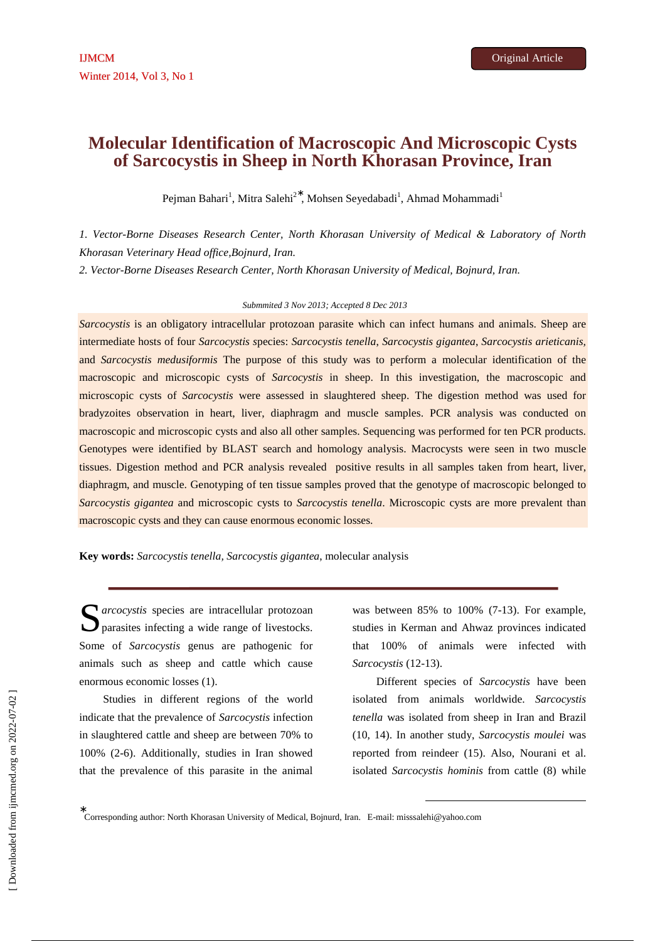# **Molecular Identification of Macroscopic And Microscopic Cysts of Sarcocystis in Sheep in North Khorasan Province, Iran**

Pejman Bahari<sup>1</sup>, Mitra Salehi<sup>2\*</sup>, Mohsen Seyedabadi<sup>1</sup>, Ahmad Mohammadi<sup>1</sup>

*1. Vector-Borne Diseases Research Center, North Khorasan University of Medical & Laboratory of North Khorasan Veterinary Head office,Bojnurd, Iran.*

*2. Vector-Borne Diseases Research Center, North Khorasan University of Medical, Bojnurd, Iran.* 

# *Submmited 3 Nov 2013; Accepted 8 Dec 2013*

*Sarcocystis* is an obligatory intracellular protozoan parasite which can infect humans and animals. Sheep are intermediate hosts of four *Sarcocystis s*pecies: *Sarcocystis tenella*, *Sarcocystis gigantea*, *Sarcocystis arieticanis,* and *Sarcocystis medusiformis* The purpose of this study was to perform a molecular identification of the macroscopic and microscopic cysts of *Sarcocystis* in sheep. In this investigation, the macroscopic and microscopic cysts of *Sarcocystis* were assessed in slaughtered sheep. The digestion method was used for bradyzoites observation in heart, liver, diaphragm and muscle samples. PCR analysis was conducted on macroscopic and microscopic cysts and also all other samples. Sequencing was performed for ten PCR products. Genotypes were identified by BLAST search and homology analysis. Macrocysts were seen in two muscle tissues. Digestion method and PCR analysis revealed positive results in all samples taken from heart, liver, diaphragm, and muscle. Genotyping of ten tissue samples proved that the genotype of macroscopic belonged to *Sarcocystis gigantea* and microscopic cysts to *Sarcocystis tenella*. Microscopic cysts are more prevalent than macroscopic cysts and they can cause enormous economic losses.

**Key words:** *Sarcocystis tenella, Sarcocystis gigantea*, molecular analysis

Santa arcocystis species are intracellular protozoan parasites infecting a wide range of livestocks. **D** parasites infecting a wide range of livestocks. Some of *Sarcocystis* genus are pathogenic for animals such as sheep and cattle which cause enormous economic losses (1).

Studies in different regions of the world indicate that the prevalence of *Sarcocystis* infection in slaughtered cattle and sheep are between 70% to 100% (2-6). Additionally, studies in Iran showed that the prevalence of this parasite in the animal

was between 85% to 100% (7-13). For example, studies in Kerman and Ahwaz provinces indicated that 100% of animals were infected with *Sarcocystis* (12-13).

Different species of *Sarcocystis* have been isolated from animals worldwide. *Sarcocystis tenella* was isolated from sheep in Iran and Brazil (10, 14). In another study, *Sarcocystis moulei* was reported from reindeer (15). Also, Nourani et al. isolated *Sarcocystis hominis* from cattle (8) while

l

∗ Corresponding author: North Khorasan University of Medical, Bojnurd, Iran. E-mail: misssalehi@yahoo.com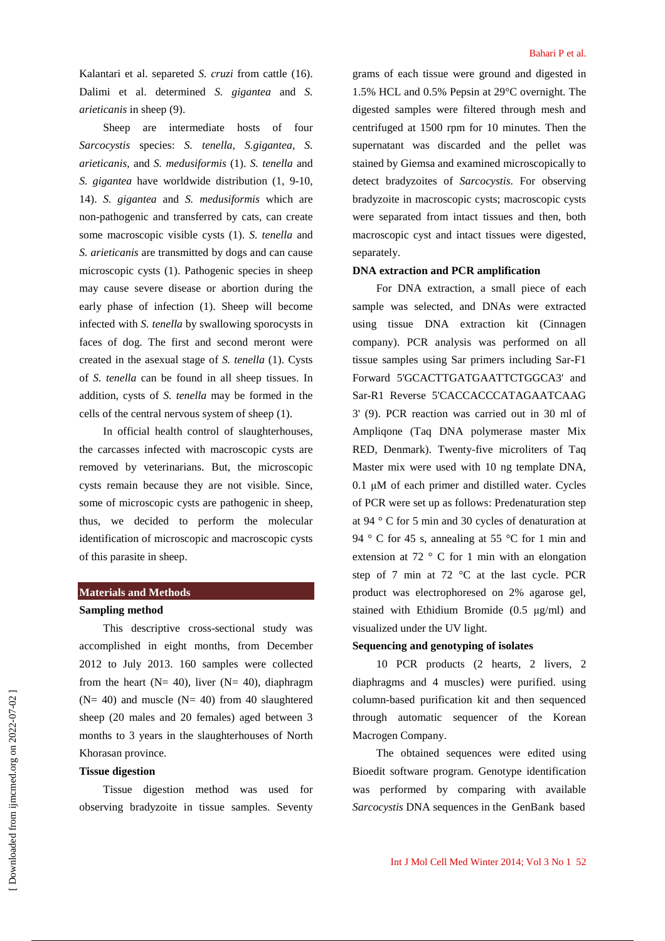Kalantari et al. separeted *S. cruzi* from cattle (16). Dalimi et al. determined *S. gigantea* and *S. arieticanis* in sheep (9).

Sheep are intermediate hosts of four *Sarcocystis* species: *S. tenella*, *S.gigantea*, *S. arieticanis,* and *S. medusiformis* (1). *S. tenella* and *S. gigantea* have worldwide distribution (1, 9-10, 14). *S. gigantea* and *S. medusiformis* which are non-pathogenic and transferred by cats, can create some macroscopic visible cysts (1). *S. tenella* and *S. arieticanis* are transmitted by dogs and can cause microscopic cysts (1). Pathogenic species in sheep may cause severe disease or abortion during the early phase of infection (1). Sheep will become infected with *S. tenella* by swallowing sporocysts in faces of dog. The first and second meront were created in the asexual stage of *S. tenella* (1). Cysts of *S. tenella* can be found in all sheep tissues. In addition, cysts of *S. tenella* may be formed in the cells of the central nervous system of sheep (1).

In official health control of slaughterhouses, the carcasses infected with macroscopic cysts are removed by veterinarians. But, the microscopic cysts remain because they are not visible. Since, some of microscopic cysts are pathogenic in sheep, thus, we decided to perform the molecular identification of microscopic and macroscopic cysts of this parasite in sheep.

## **Materials and Methods**

### **Sampling method**

This descriptive cross-sectional study was accomplished in eight months, from December 2012 to July 2013. 160 samples were collected from the heart ( $N = 40$ ), liver ( $N = 40$ ), diaphragm  $(N= 40)$  and muscle  $(N= 40)$  from 40 slaughtered sheep (20 males and 20 females) aged between 3 months to 3 years in the slaughterhouses of North Khorasan province.

# **Tissue digestion**

Tissue digestion method was used for observing bradyzoite in tissue samples. Seventy

grams of each tissue were ground and digested in 1.5% HCL and 0.5% Pepsin at 29°C overnight. The digested samples were filtered through mesh and centrifuged at 1500 rpm for 10 minutes. Then the supernatant was discarded and the pellet was stained by Giemsa and examined microscopically to detect bradyzoites of *Sarcocystis*. For observing bradyzoite in macroscopic cysts; macroscopic cysts were separated from intact tissues and then, both macroscopic cyst and intact tissues were digested, separately.

## **DNA extraction and PCR amplification**

For DNA extraction, a small piece of each sample was selected, and DNAs were extracted using tissue DNA extraction kit (Cinnagen company). PCR analysis was performed on all tissue samples using Sar primers including Sar-F1 Forward 5'GCACTTGATGAATTCTGGCA3' and Sar-R1 Reverse 5'CACCACCCATAGAATCAAG 3' (9). PCR reaction was carried out in 30 ml of Ampliqone (Taq DNA polymerase master Mix RED, Denmark). Twenty-five microliters of Taq Master mix were used with 10 ng template DNA,  $0.1 \mu M$  of each primer and distilled water. Cycles of PCR were set up as follows: Predenaturation step at 94 ° C for 5 min and 30 cycles of denaturation at 94 ° C for 45 s, annealing at 55 °C for 1 min and extension at  $72$  ° C for 1 min with an elongation step of 7 min at 72 °C at the last cycle. PCR product was electrophoresed on 2% agarose gel, stained with Ethidium Bromide (0.5 µg/ml) and visualized under the UV light.

# **Sequencing and genotyping of isolates**

10 PCR products (2 hearts, 2 livers, 2 diaphragms and 4 muscles) were purified. using column-based purification kit and then sequenced through automatic sequencer of the Korean Macrogen Company.

The obtained sequences were edited using Bioedit software program. Genotype identification was performed by comparing with available *Sarcocystis* DNA sequences in the GenBank based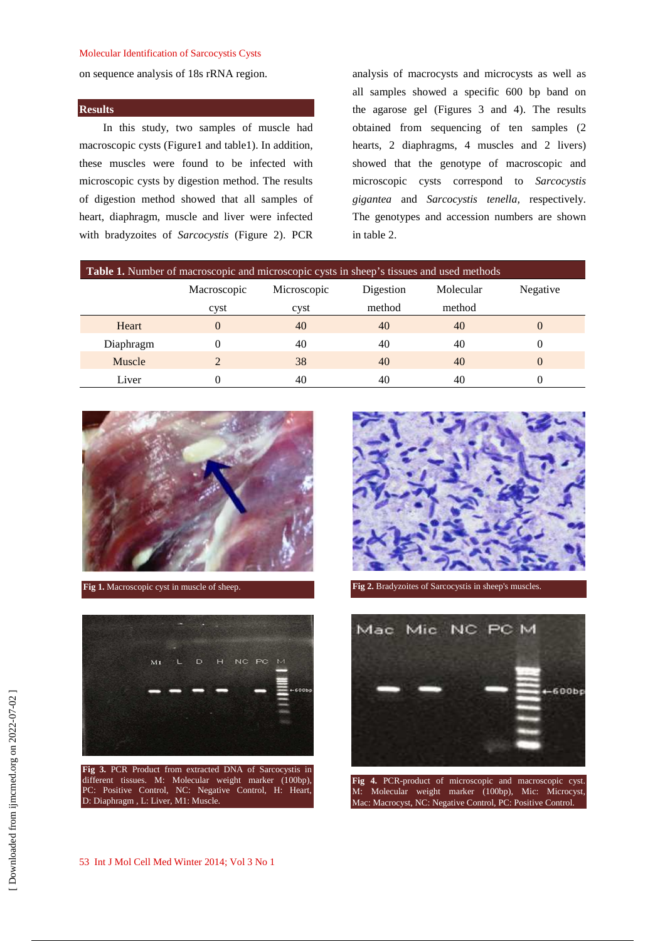#### Molecular Identification of Sarcocystis Cysts

on sequence analysis of 18s rRNA region.

#### **Results**

In this study, two samples of muscle had macroscopic cysts (Figure1 and table1). In addition, these muscles were found to be infected with microscopic cysts by digestion method. The results of digestion method showed that all samples of heart, diaphragm, muscle and liver were infected with bradyzoites of *Sarcocystis* (Figure 2). PCR analysis of macrocysts and microcysts as well as all samples showed a specific 600 bp band on the agarose gel (Figures 3 and 4). The results obtained from sequencing of ten samples (2 hearts, 2 diaphragms, 4 muscles and 2 livers) showed that the genotype of macroscopic and microscopic cysts correspond to *Sarcocystis gigantea* and *Sarcocystis tenella,* respectively. The genotypes and accession numbers are shown in table 2.

| Table 1. Number of macroscopic and microscopic cysts in sheep's tissues and used methods |             |             |           |           |          |  |  |  |
|------------------------------------------------------------------------------------------|-------------|-------------|-----------|-----------|----------|--|--|--|
|                                                                                          | Macroscopic | Microscopic | Digestion | Molecular | Negative |  |  |  |
|                                                                                          | cyst        | cyst        | method    | method    |          |  |  |  |
| Heart                                                                                    | $\Omega$    | 40          | 40        | 40        | O        |  |  |  |
| Diaphragm                                                                                | 0           | 40          | 40        | 40        | $\Omega$ |  |  |  |
| Muscle                                                                                   |             | 38          | 40        | 40        | $\theta$ |  |  |  |
| Liver                                                                                    |             | 40          | 40        | 40        | 0        |  |  |  |



**Fig 1.** Macroscopic cyst in muscle of sheep.



**Fig 3.** PCR Product from extracted DNA of Sarcocystis in different tissues. M: Molecular weight marker (100bp), PC: Positive Control, NC: Negative Control, H: Heart, D: Diaphragm , L: Liver, M1: Muscle.



**Fig 2.** Bradyzoites of Sarcocystis in sheep's muscles.



M: Molecular weight marker (100bp), Mic: Microcyst, Macrocyst, NC: Negative Control, PC: Positive Control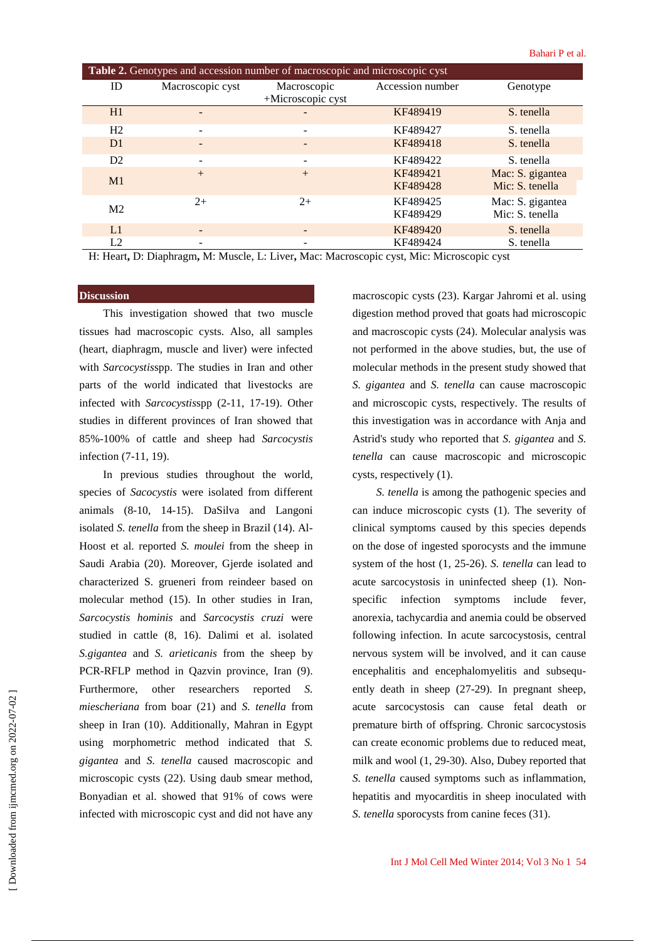| Table 2. Genotypes and accession number of macroscopic and microscopic cyst |                  |                          |                  |                  |  |  |  |
|-----------------------------------------------------------------------------|------------------|--------------------------|------------------|------------------|--|--|--|
| ID                                                                          | Macroscopic cyst | Macroscopic              | Accession number | Genotype         |  |  |  |
|                                                                             |                  | $+$ Microscopic cyst     |                  |                  |  |  |  |
| H1                                                                          |                  |                          | KF489419         | S. tenella       |  |  |  |
| H2                                                                          |                  | ۰                        | KF489427         | S. tenella       |  |  |  |
| D1                                                                          |                  |                          | KF489418         | S. tenella       |  |  |  |
| D2                                                                          |                  | $\overline{\phantom{a}}$ | KF489422         | S. tenella       |  |  |  |
| M1                                                                          | $+$              | $+$                      | KF489421         | Mac: S. gigantea |  |  |  |
|                                                                             |                  |                          | KF489428         | Mic: S. tenella  |  |  |  |
| M <sub>2</sub>                                                              | $2+$             | $2+$                     | KF489425         | Mac: S. gigantea |  |  |  |
|                                                                             |                  |                          | KF489429         | Mic: S. tenella  |  |  |  |
| L1                                                                          |                  |                          | KF489420         | S. tenella       |  |  |  |
| L <sub>2</sub>                                                              |                  |                          | KF489424         | S. tenella       |  |  |  |

H: Heart**,** D: Diaphragm**,** M: Muscle, L: Liver**,** Mac: Macroscopic cyst, Mic: Microscopic cyst

# **Discussion**

This investigation showed that two muscle tissues had macroscopic cysts. Also, all samples (heart, diaphragm, muscle and liver) were infected with *Sarcocystis*spp. The studies in Iran and other parts of the world indicated that livestocks are infected with *Sarcocystis*spp (2-11, 17-19). Other studies in different provinces of Iran showed that 85%-100% of cattle and sheep had *Sarcocystis* infection (7-11, 19).

In previous studies throughout the world, species of *Sacocystis* were isolated from different animals (8-10, 14-15). DaSilva and Langoni isolated *S. tenella* from the sheep in Brazil (14). Al-Hoost et al. reported *S. moulei* from the sheep in Saudi Arabia (20). Moreover, Gjerde isolated and characterized S. grueneri from reindeer based on molecular method (15). In other studies in Iran, *Sarcocystis hominis* and *Sarcocystis cruzi* were studied in cattle (8, 16). Dalimi et al. isolated *S.gigantea* and *S. arieticanis* from the sheep by PCR-RFLP method in Qazvin province, Iran (9). Furthermore, other researchers reported *S. miescheriana* from boar (21) and *S. tenella* from sheep in Iran (10). Additionally, Mahran in Egypt using morphometric method indicated that *S. gigantea* and *S. tenella* caused macroscopic and microscopic cysts (22). Using daub smear method, Bonyadian et al. showed that 91% of cows were infected with microscopic cyst and did not have any

macroscopic cysts (23). Kargar Jahromi et al. using digestion method proved that goats had microscopic and macroscopic cysts (24). Molecular analysis was not performed in the above studies, but, the use of molecular methods in the present study showed that *S. gigantea* and *S. tenella* can cause macroscopic and microscopic cysts, respectively. The results of this investigation was in accordance with Anja and Astrid's study who reported that *S. gigantea* and *S. tenella* can cause macroscopic and microscopic cysts, respectively (1).

*S. tenella* is among the pathogenic species and can induce microscopic cysts (1). The severity of clinical symptoms caused by this species depends on the dose of ingested sporocysts and the immune system of the host (1, 25-26). *S. tenella* can lead to acute sarcocystosis in uninfected sheep (1). Nonspecific infection symptoms include fever, anorexia, tachycardia and anemia could be observed following infection. In acute sarcocystosis, central nervous system will be involved, and it can cause encephalitis and encephalomyelitis and subsequently death in sheep (27-29). In pregnant sheep, acute sarcocystosis can cause fetal death or premature birth of offspring. Chronic sarcocystosis can create economic problems due to reduced meat, milk and wool (1, 29-30). Also, Dubey reported that *S. tenella* caused symptoms such as inflammation, hepatitis and myocarditis in sheep inoculated with *S. tenella* sporocysts from canine feces (31).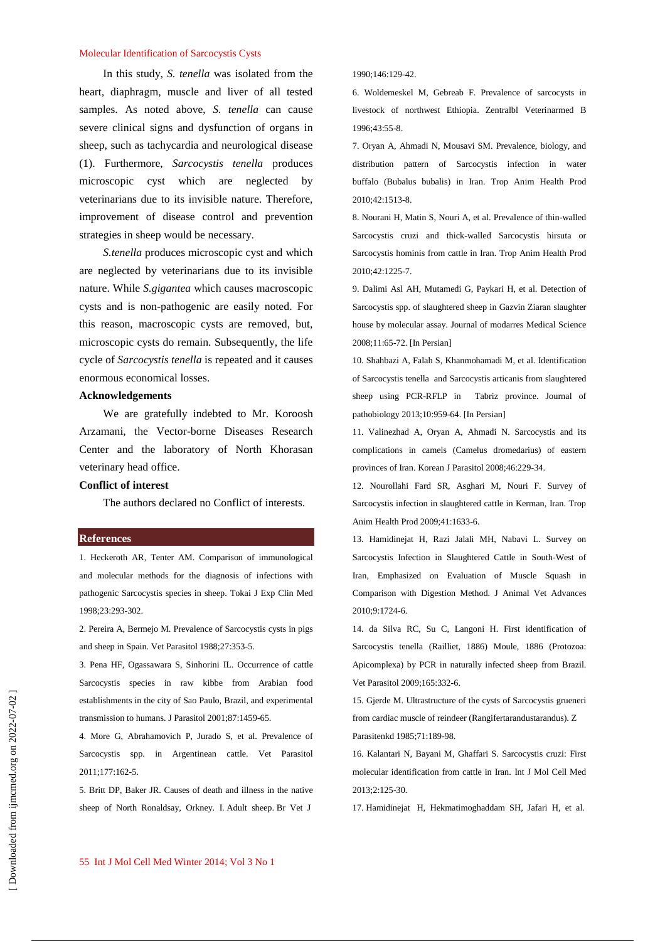#### Molecular Identification of Sarcocystis Cysts

In this study, *S. tenella* was isolated from the heart, diaphragm, muscle and liver of all tested samples. As noted above, *S. tenella* can cause severe clinical signs and dysfunction of organs in sheep, such as tachycardia and neurological disease (1). Furthermore, *Sarcocystis tenella* produces microscopic cyst which are neglected by veterinarians due to its invisible nature. Therefore, improvement of disease control and prevention strategies in sheep would be necessary.

*S.tenella* produces microscopic cyst and which are neglected by veterinarians due to its invisible nature. While *S.gigantea* which causes macroscopic cysts and is non-pathogenic are easily noted. For this reason, macroscopic cysts are removed, but, microscopic cysts do remain. Subsequently, the life cycle of *Sarcocystis tenella* is repeated and it causes enormous economical losses.

# **Acknowledgements**

We are gratefully indebted to Mr. Koroosh Arzamani, the Vector-borne Diseases Research Center and the laboratory of North Khorasan veterinary head office.

## **Conflict of interest**

The authors declared no Conflict of interests.

#### **References**

1. Heckeroth AR, Tenter AM. Comparison of immunological and molecular methods for the diagnosis of infections with pathogenic Sarcocystis species in sheep. Tokai J Exp Clin Med 1998;23:293-302.

2. Pereira A, Bermejo M. Prevalence of Sarcocystis cysts in pigs and sheep in Spain. Vet Parasitol 1988;27:353-5.

3. Pena HF, Ogassawara S, Sinhorini IL. Occurrence of cattle Sarcocystis species in raw kibbe from Arabian food establishments in the city of Sao Paulo, Brazil, and experimental transmission to humans. J Parasitol 2001;87:1459-65.

4. More G, Abrahamovich P, Jurado S, et al. Prevalence of Sarcocystis spp. in Argentinean cattle. Vet Parasitol  $2011 \cdot 177 \cdot 162 - 5$ 

5. Britt DP, Baker JR. Causes of death and illness in the native sheep of North Ronaldsay, Orkney. I. Adult sheep. Br Vet J

1990;146:129-42.

6. Woldemeskel M, Gebreab F. Prevalence of sarcocysts in livestock of northwest Ethiopia. Zentralbl Veterinarmed B 1996;43:55-8.

7. Oryan A, Ahmadi N, Mousavi SM. Prevalence, biology, and distribution pattern of Sarcocystis infection in water buffalo (Bubalus bubalis) in Iran. Trop Anim Health Prod 2010;42:1513-8.

8. Nourani H, Matin S, Nouri A, et al. Prevalence of thin-walled Sarcocystis cruzi and thick-walled Sarcocystis hirsuta or Sarcocystis hominis from cattle in Iran. Trop Anim Health Prod  $2010:42:1225$ -7

9. Dalimi Asl AH, Mutamedi G, Paykari H, et al. Detection of Sarcocystis spp. of slaughtered sheep in Gazvin Ziaran slaughter house by molecular assay. Journal of modarres Medical Science 2008;11:65-72. [In Persian]

10. Shahbazi A, Falah S, Khanmohamadi M, et al. Identification of Sarcocystis tenella and Sarcocystis articanis from slaughtered sheep using PCR-RFLP in Tabriz province. Journal of pathobiology 2013;10:959-64. [In Persian]

11. Valinezhad A, Oryan A, Ahmadi N. Sarcocystis and its complications in camels (Camelus dromedarius) of eastern provinces of Iran. Korean J Parasitol 2008;46:229-34.

12. Nourollahi Fard SR, Asghari M, Nouri F. Survey of Sarcocystis infection in slaughtered cattle in Kerman, Iran. Trop Anim Health Prod 2009;41:1633-6.

13. Hamidinejat H, Razi Jalali MH, Nabavi L. Survey on Sarcocystis Infection in Slaughtered Cattle in South-West of Iran, Emphasized on Evaluation of Muscle Squash in Comparison with Digestion Method. J Animal Vet Advances 2010;9:1724-6.

14. da Silva RC, Su C, Langoni H. First identification of Sarcocystis tenella (Railliet, 1886) Moule, 1886 (Protozoa: Apicomplexa) by PCR in naturally infected sheep from Brazil. Vet Parasitol 2009;165:332-6.

15. Gjerde M. Ultrastructure of the cysts of Sarcocystis grueneri from cardiac muscle of reindeer (Rangifertarandustarandus). Z Parasitenkd 1985;71:189-98.

16. Kalantari N, Bayani M, Ghaffari S. Sarcocystis cruzi: First molecular identification from cattle in Iran. Int J Mol Cell Med 2013;2:125-30.

17. Hamidinejat H, Hekmatimoghaddam SH, Jafari H, et al.